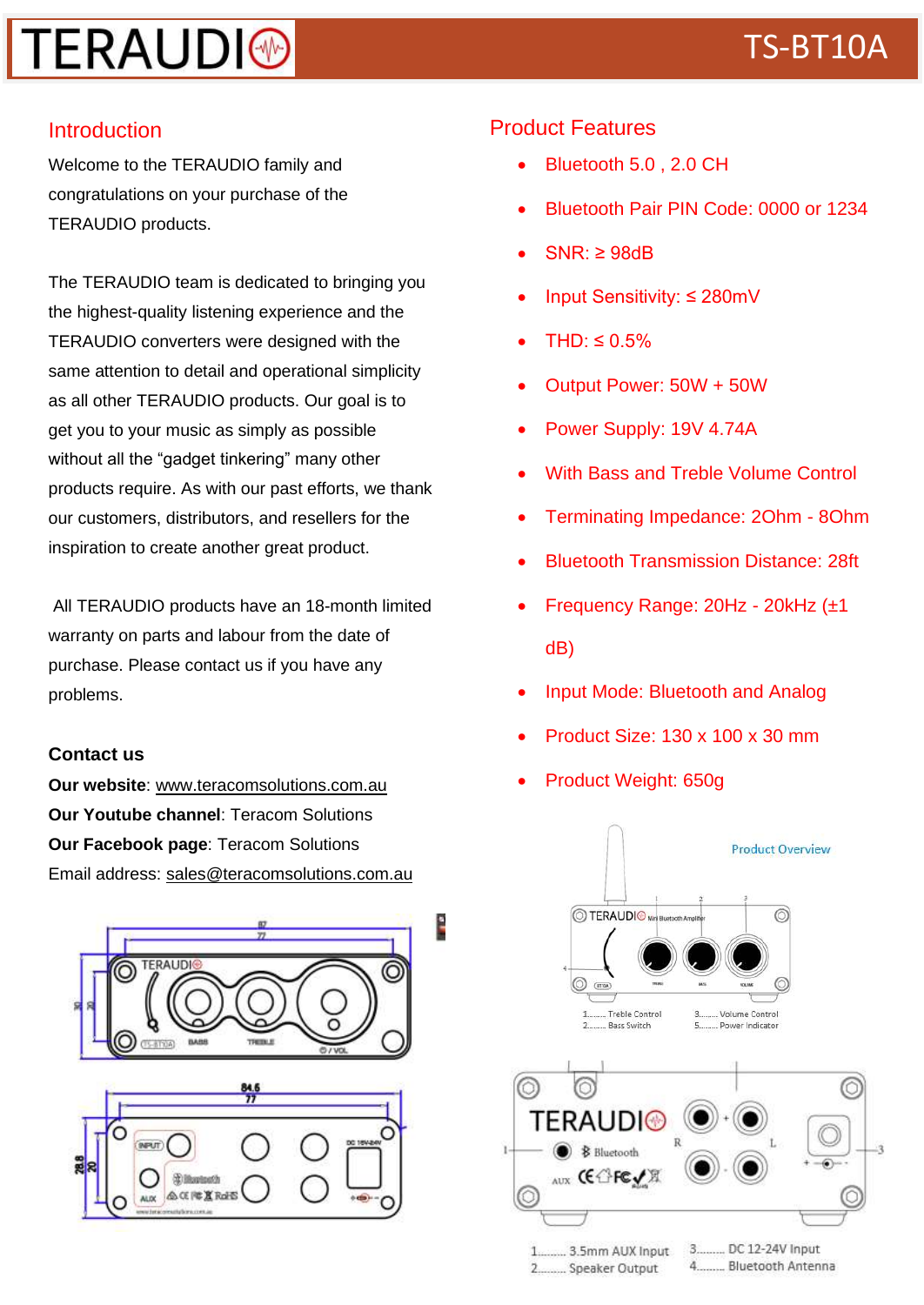## **TERAUDI® Example 19 and 19 and 19 and 19 and 19 and 19 and 19 and 19 and 19 and 19 and 19 and 19 and 19 and 19 and 19 and 19 and 19 and 19 and 19 and 19 and 19 and 19 and 19 and 19 and 19 and 19 and 19 and 19 and 19 and**

#### Introduction

Welcome to the TERAUDIO family and congratulations on your purchase of the TERAUDIO products.

The TERAUDIO team is dedicated to bringing you the highest-quality listening experience and the TERAUDIO converters were designed with the same attention to detail and operational simplicity as all other TERAUDIO products. Our goal is to get you to your music as simply as possible without all the "gadget tinkering" many other products require. As with our past efforts, we thank our customers, distributors, and resellers for the inspiration to create another great product.

All TERAUDIO products have an 18-month limited warranty on parts and labour from the date of purchase. Please contact us if you have any problems.

#### **Contact us**

**Our website**: www.teracomsolutions.com.au **Our Youtube channel**: Teracom Solutions **Our Facebook page**: Teracom Solutions Email address: sales@teracomsolutions.com.au



E



### Product Features

- Bluetooth 5.0 , 2.0 CH
- Bluetooth Pair PIN Code: 0000 or 1234
- $SNR: \geq 98dB$
- Input Sensitivity: ≤ 280mV
- $THD: \leq 0.5\%$
- Output Power: 50W + 50W
- Power Supply: 19V 4.74A
- With Bass and Treble Volume Control
- Terminating Impedance: 2Ohm 8Ohm
- Bluetooth Transmission Distance: 28ft
- Frequency Range: 20Hz 20kHz (±1 dB)
- Input Mode: Bluetooth and Analog
- Product Size: 130 x 100 x 30 mm
- Product Weight: 650g